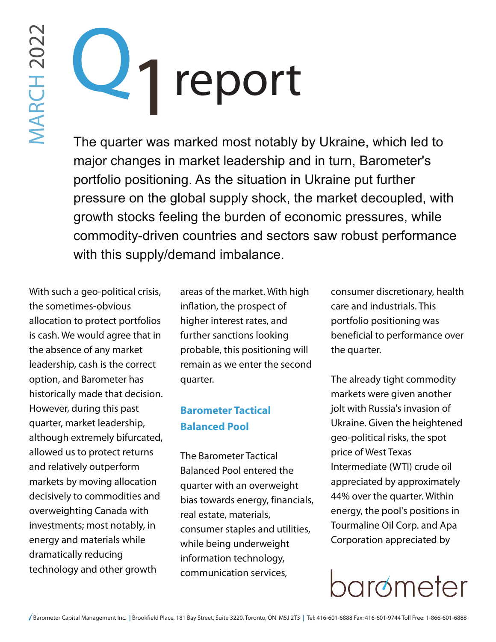# report 1

The quarter was marked most notably by Ukraine, which led to major changes in market leadership and in turn, Barometer's portfolio positioning. As the situation in Ukraine put further pressure on the global supply shock, the market decoupled, with growth stocks feeling the burden of economic pressures, while commodity-driven countries and sectors saw robust performance with this supply/demand imbalance.

With such a geo-political crisis, the sometimes-obvious allocation to protect portfolios is cash. We would agree that in the absence of any market leadership, cash is the correct option, and Barometer has historically made that decision. However, during this past quarter, market leadership, although extremely bifurcated, allowed us to protect returns and relatively outperform markets by moving allocation decisively to commodities and overweighting Canada with investments; most notably, in energy and materials while dramatically reducing technology and other growth

areas of the market. With high inflation, the prospect of higher interest rates, and further sanctions looking probable, this positioning will remain as we enter the second quarter.

#### **Barometer Tactical Balanced Pool**

The Barometer Tactical Balanced Pool entered the quarter with an overweight bias towards energy, financials, real estate, materials, consumer staples and utilities, while being underweight information technology, communication services,

consumer discretionary, health care and industrials. This portfolio positioning was beneficial to performance over the quarter.

The already tight commodity markets were given another jolt with Russia's invasion of Ukraine. Given the heightened geo-political risks, the spot price of West Texas Intermediate (WTI) crude oil appreciated by approximately 44% over the quarter. Within energy, the pool's positions in Tourmaline Oil Corp. and Apa Corporation appreciated by

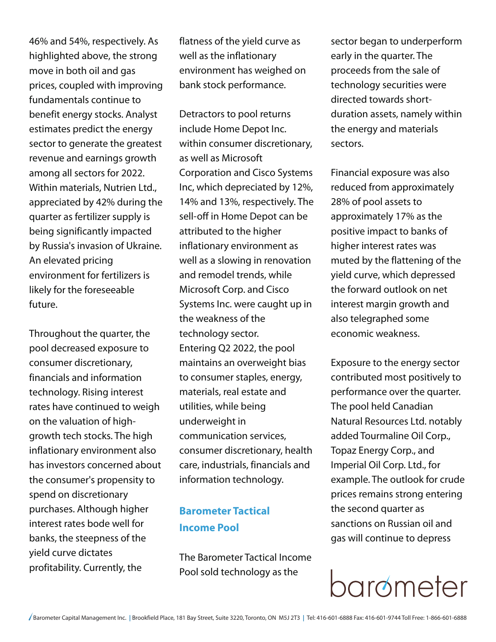46% and 54%, respectively. As highlighted above, the strong move in both oil and gas prices, coupled with improving fundamentals continue to benefit energy stocks. Analyst estimates predict the energy sector to generate the greatest revenue and earnings growth among all sectors for 2022. Within materials, Nutrien Ltd., appreciated by 42% during the quarter as fertilizer supply is being significantly impacted by Russia's invasion of Ukraine. An elevated pricing environment for fertilizers is likely for the foreseeable future.

Throughout the quarter, the pool decreased exposure to consumer discretionary, financials and information technology. Rising interest rates have continued to weigh on the valuation of highgrowth tech stocks. The high inflationary environment also has investors concerned about the consumer's propensity to spend on discretionary purchases. Although higher interest rates bode well for banks, the steepness of the yield curve dictates profitability. Currently, the

flatness of the yield curve as well as the inflationary environment has weighed on bank stock performance.

Detractors to pool returns include Home Depot Inc. within consumer discretionary, as well as Microsoft Corporation and Cisco Systems Inc, which depreciated by 12%, 14% and 13%, respectively. The sell-off in Home Depot can be attributed to the higher inflationary environment as well as a slowing in renovation and remodel trends, while Microsoft Corp. and Cisco Systems Inc. were caught up in the weakness of the technology sector. Entering Q2 2022, the pool maintains an overweight bias to consumer staples, energy, materials, real estate and utilities, while being underweight in communication services, consumer discretionary, health care, industrials, financials and information technology.

### **Barometer Tactical Income Pool**

The Barometer Tactical Income Pool sold technology as the

sector began to underperform early in the quarter. The proceeds from the sale of technology securities were directed towards shortduration assets, namely within the energy and materials sectors.

Financial exposure was also reduced from approximately 28% of pool assets to approximately 17% as the positive impact to banks of higher interest rates was muted by the flattening of the yield curve, which depressed the forward outlook on net interest margin growth and also telegraphed some economic weakness.

Exposure to the energy sector contributed most positively to performance over the quarter. The pool held Canadian Natural Resources Ltd. notably added Tourmaline Oil Corp., Topaz Energy Corp., and Imperial Oil Corp. Ltd., for example. The outlook for crude prices remains strong entering the second quarter as sanctions on Russian oil and gas will continue to depress

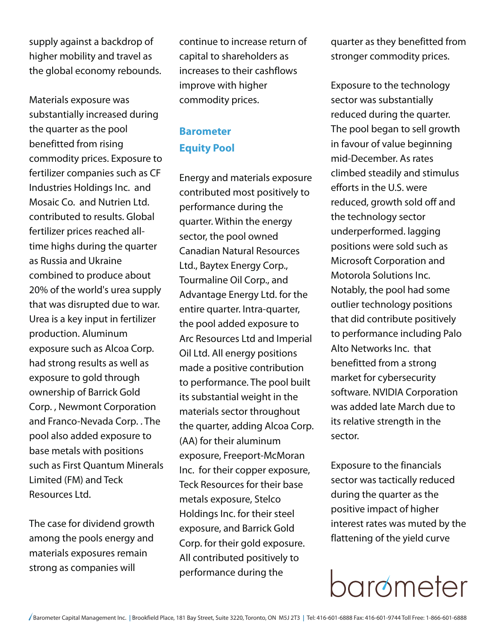supply against a backdrop of higher mobility and travel as the global economy rebounds.

Materials exposure was substantially increased during the quarter as the pool benefitted from rising commodity prices. Exposure to fertilizer companies such as CF Industries Holdings Inc. and Mosaic Co. and Nutrien Ltd. contributed to results. Global fertilizer prices reached alltime highs during the quarter as Russia and Ukraine combined to produce about 20% of the world's urea supply that was disrupted due to war. Urea is a key input in fertilizer production. Aluminum exposure such as Alcoa Corp. had strong results as well as exposure to gold through ownership of Barrick Gold Corp. , Newmont Corporation and Franco-Nevada Corp. . The pool also added exposure to base metals with positions such as First Quantum Minerals Limited (FM) and Teck Resources Ltd.

The case for dividend growth among the pools energy and materials exposures remain strong as companies will

continue to increase return of capital to shareholders as increases to their cashflows improve with higher commodity prices.

#### **Barometer Equity Pool**

Energy and materials exposure contributed most positively to performance during the quarter. Within the energy sector, the pool owned Canadian Natural Resources Ltd., Baytex Energy Corp., Tourmaline Oil Corp., and Advantage Energy Ltd. for the entire quarter. Intra-quarter, the pool added exposure to Arc Resources Ltd and Imperial Oil Ltd. All energy positions made a positive contribution to performance. The pool built its substantial weight in the materials sector throughout the quarter, adding Alcoa Corp. (AA) for their aluminum exposure, Freeport-McMoran Inc. for their copper exposure, Teck Resources for their base metals exposure, Stelco Holdings Inc. for their steel exposure, and Barrick Gold Corp. for their gold exposure. All contributed positively to performance during the

quarter as they benefitted from stronger commodity prices.

Exposure to the technology sector was substantially reduced during the quarter. The pool began to sell growth in favour of value beginning mid-December. As rates climbed steadily and stimulus efforts in the U.S. were reduced, growth sold off and the technology sector underperformed. lagging positions were sold such as Microsoft Corporation and Motorola Solutions Inc. Notably, the pool had some outlier technology positions that did contribute positively to performance including Palo Alto Networks Inc. that benefitted from a strong market for cybersecurity software. NVIDIA Corporation was added late March due to its relative strength in the sector.

Exposure to the financials sector was tactically reduced during the quarter as the positive impact of higher interest rates was muted by the flattening of the yield curve

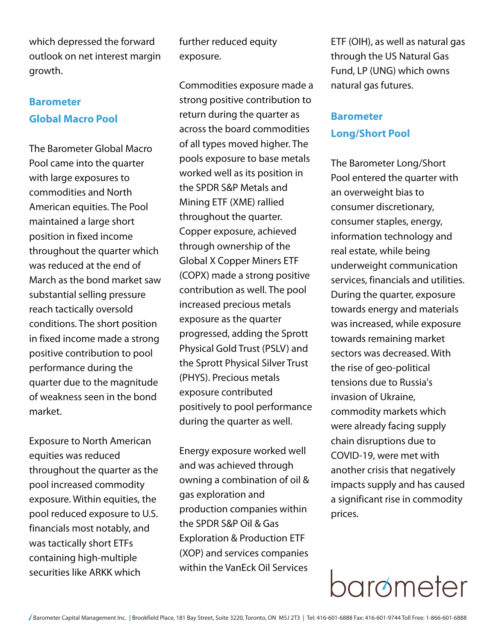which depressed the forward outlook on net interest margin growth.

#### **Barometer Global Macro Pool**

The Barometer Global Macro Pool came into the quarter with large exposures to commodities and North American equities. The Pool maintained a large short position in fixed income throughout the quarter which was reduced at the end of March as the bond market saw substantial selling pressure reach tactically oversold conditions. The short position in fixed income made a strong positive contribution to pool performance during the quarter due to the magnitude of weakness seen in the bond market.

Exposure to North American equities was reduced throughout the quarter as the pool increased commodity exposure. Within equities, the pool reduced exposure to U.S. financials most notably, and was tactically short ETFs containing high-multiple securities like ARKK which

further reduced equity exposure.

Commodities exposure made a strong positive contribution to return during the quarter as across the board commodities of all types moved higher. The pools exposure to base metals worked well as its position in the SPDR S&P Metals and Mining ETF (XME) rallied throughout the quarter. Copper exposure, achieved through ownership of the Global X Copper Miners ETF (COPX) made a strong positive contribution as well. The pool increased precious metals exposure as the quarter progressed, adding the Sprott Physical Gold Trust (PSLV) and the Sprott Physical Silver Trust (PHYS). Precious metals exposure contributed positively to pool performance during the quarter as well.

Energy exposure worked well and was achieved through owning a combination of oil & gas exploration and production companies within the SPDR S&P Oil & Gas Exploration & Production ETF (XOP) and services companies within the VanEck Oil Services

ETF (OIH), as well as natural gas through the US Natural Gas Fund, LP (UNG) which owns natural gas futures.

#### **Barometer Long/Short Pool**

The Barometer Long/Short Pool entered the quarter with an overweight bias to consumer discretionary, consumer staples, energy, information technology and real estate, while being underweight communication services, financials and utilities. During the quarter, exposure towards energy and materials was increased, while exposure towards remaining market sectors was decreased. With the rise of geo-political tensions due to Russia's invasion of Ukraine, commodity markets which were already facing supply chain disruptions due to COVID-19, were met with another crisis that negatively impacts supply and has caused a significant rise in commodity prices.